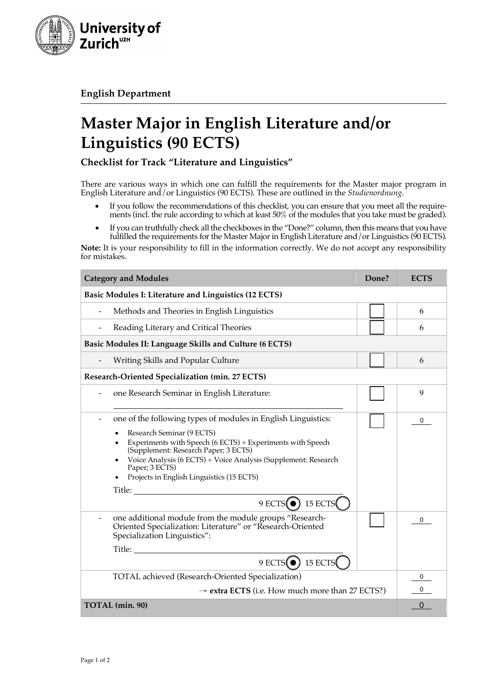

**English Department**

## **Master Major in English Literature and/or Linguistics (90 ECTS)**

**Checklist for Track "Literature and Linguistics"**

There are various ways in which one can fulfill the requirements for the Master major program in English Literature and/or Linguistics (90 ECTS). These are outlined in the *Studienordnung.*

- If you follow the recommendations of this checklist, you can ensure that you meet all the requirements (incl. the rule according to which at least 50% of the modules that you take must be graded).
- If you can truthfully check all the checkboxes in the "Done?" column, then this means that you have fulfilled the requirements for the Master Major in English Literature and / or Linguistics (90 ECTS).

**Note:** It is your responsibility to fill in the information correctly. We do not accept any responsibility for mistakes.

| <b>Category and Modules</b>                                                                                                                                                                                                                                                                                                                                                                                                                                                                                                               | Done? | <b>ECTS</b> |  |
|-------------------------------------------------------------------------------------------------------------------------------------------------------------------------------------------------------------------------------------------------------------------------------------------------------------------------------------------------------------------------------------------------------------------------------------------------------------------------------------------------------------------------------------------|-------|-------------|--|
| Basic Modules I: Literature and Linguistics (12 ECTS)                                                                                                                                                                                                                                                                                                                                                                                                                                                                                     |       |             |  |
| Methods and Theories in English Linguistics                                                                                                                                                                                                                                                                                                                                                                                                                                                                                               |       | 6           |  |
| Reading Literary and Critical Theories<br>$\qquad \qquad \blacksquare$                                                                                                                                                                                                                                                                                                                                                                                                                                                                    |       | 6           |  |
| Basic Modules II: Language Skills and Culture (6 ECTS)                                                                                                                                                                                                                                                                                                                                                                                                                                                                                    |       |             |  |
| Writing Skills and Popular Culture                                                                                                                                                                                                                                                                                                                                                                                                                                                                                                        |       | 6           |  |
| Research-Oriented Specialization (min. 27 ECTS)                                                                                                                                                                                                                                                                                                                                                                                                                                                                                           |       |             |  |
| one Research Seminar in English Literature:                                                                                                                                                                                                                                                                                                                                                                                                                                                                                               |       | 9           |  |
| one of the following types of modules in English Linguistics:                                                                                                                                                                                                                                                                                                                                                                                                                                                                             |       | 0           |  |
| Research Seminar (9 ECTS)<br>$\bullet$<br>Experiments with Speech (6 ECTS) + Experiments with Speech<br>$\bullet$<br>(Supplement: Research Paper; 3 ECTS)<br>Voice Analysis (6 ECTS) + Voice Analysis (Supplement: Research<br>$\bullet$<br>Paper; 3 ECTS)<br>Projects in English Linguistics (15 ECTS)<br>Title: The contract of the contract of the contract of the contract of the contract of the contract of the contract of the contract of the contract of the contract of the contract of the contract of the contract of the con |       |             |  |
| $9$ ECTS( $\bullet$ ) 15 ECTS(                                                                                                                                                                                                                                                                                                                                                                                                                                                                                                            |       |             |  |
| one additional module from the module groups "Research-<br>Oriented Specialization: Literature" or "Research-Oriented<br>Specialization Linguistics":                                                                                                                                                                                                                                                                                                                                                                                     |       | 0           |  |
|                                                                                                                                                                                                                                                                                                                                                                                                                                                                                                                                           |       |             |  |
| $9$ ECTS( $\bullet$ ) 15 ECTS                                                                                                                                                                                                                                                                                                                                                                                                                                                                                                             |       |             |  |
| TOTAL achieved (Research-Oriented Specialization)                                                                                                                                                                                                                                                                                                                                                                                                                                                                                         |       | 0           |  |
| $\rightarrow$ extra ECTS (i.e. How much more than 27 ECTS?)                                                                                                                                                                                                                                                                                                                                                                                                                                                                               |       | 0           |  |
| TOTAL (min. 90)                                                                                                                                                                                                                                                                                                                                                                                                                                                                                                                           |       | 0           |  |